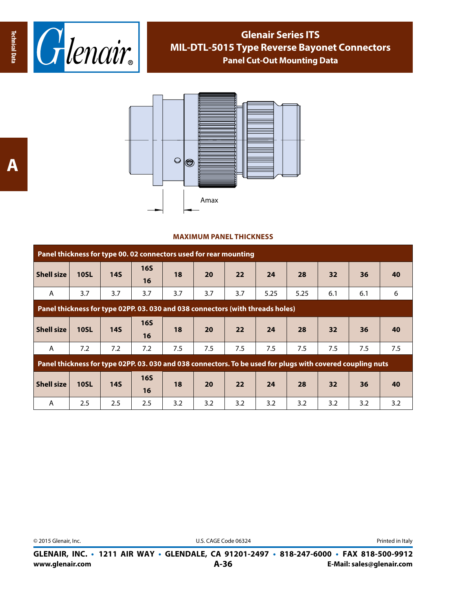



## **MAXIMUM PANEL THICKNESS**

| Panel thickness for type 00.02 connectors used for rear mounting                                           |             |            |                  |     |     |     |      |      |     |     |     |
|------------------------------------------------------------------------------------------------------------|-------------|------------|------------------|-----|-----|-----|------|------|-----|-----|-----|
| <b>Shell size</b>                                                                                          | <b>10SL</b> | <b>14S</b> | 16S<br>16        | 18  | 20  | 22  | 24   | 28   | 32  | 36  | 40  |
| A                                                                                                          | 3.7         | 3.7        | 3.7              | 3.7 | 3.7 | 3.7 | 5.25 | 5.25 | 6.1 | 6.1 | 6   |
| Panel thickness for type 02PP. 03. 030 and 038 connectors (with threads holes)                             |             |            |                  |     |     |     |      |      |     |     |     |
| <b>Shell size</b>                                                                                          | <b>10SL</b> | <b>14S</b> | <b>16S</b><br>16 | 18  | 20  | 22  | 24   | 28   | 32  | 36  | 40  |
| A                                                                                                          | 7.2         | 7.2        | 7.2              | 7.5 | 7.5 | 7.5 | 7.5  | 7.5  | 7.5 | 7.5 | 7.5 |
| Panel thickness for type 02PP. 03. 030 and 038 connectors. To be used for plugs with covered coupling nuts |             |            |                  |     |     |     |      |      |     |     |     |
| <b>Shell size</b>                                                                                          | <b>10SL</b> | <b>14S</b> | <b>16S</b><br>16 | 18  | 20  | 22  | 24   | 28   | 32  | 36  | 40  |
| A                                                                                                          | $2.5\,$     | 2.5        | 2.5              | 3.2 | 3.2 | 3.2 | 3.2  | 3.2  | 3.2 | 3.2 | 3.2 |

© 2015 Glenair, Inc. U.S. CAGE Code 06324 Printed in Italy